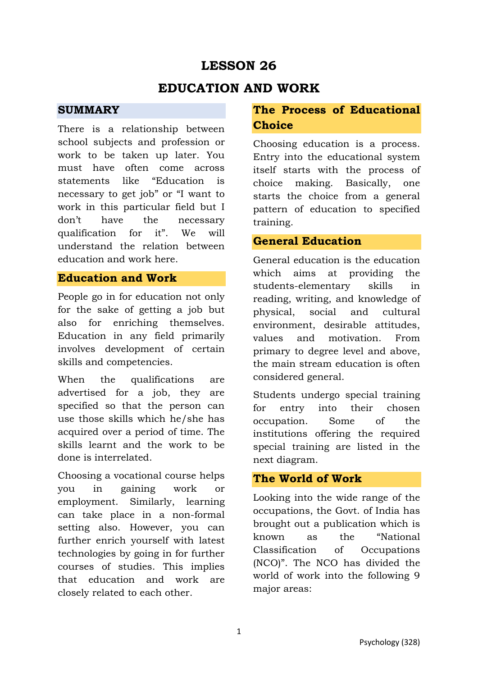# **LESSON 26**

# **EDUCATION AND WORK**

### **SUMMARY**

There is a relationship between school subjects and profession or work to be taken up later. You must have often come across statements like "Education is necessary to get job" or "I want to work in this particular field but I don't have the necessary qualification for it". We will understand the relation between education and work here.

### **Education and Work**

People go in for education not only for the sake of getting a job but also for enriching themselves. Education in any field primarily involves development of certain skills and competencies.

When the qualifications are advertised for a job, they are specified so that the person can use those skills which he/she has acquired over a period of time. The skills learnt and the work to be done is interrelated.

Choosing a vocational course helps you in gaining work or employment. Similarly, learning can take place in a non-formal setting also. However, you can further enrich yourself with latest technologies by going in for further courses of studies. This implies that education and work are closely related to each other.

# **The Process of Educational Choice**

Choosing education is a process. Entry into the educational system itself starts with the process of choice making. Basically, one starts the choice from a general pattern of education to specified training.

### **General Education**

General education is the education which aims at providing the students-elementary skills in reading, writing, and knowledge of physical, social and cultural environment, desirable attitudes, values and motivation. From primary to degree level and above, the main stream education is often considered general.

Students undergo special training for entry into their chosen occupation. Some of the institutions offering the required special training are listed in the next diagram.

## **The World of Work**

Looking into the wide range of the occupations, the Govt. of India has brought out a publication which is known as the "National Classification of Occupations (NCO)". The NCO has divided the world of work into the following 9 major areas: